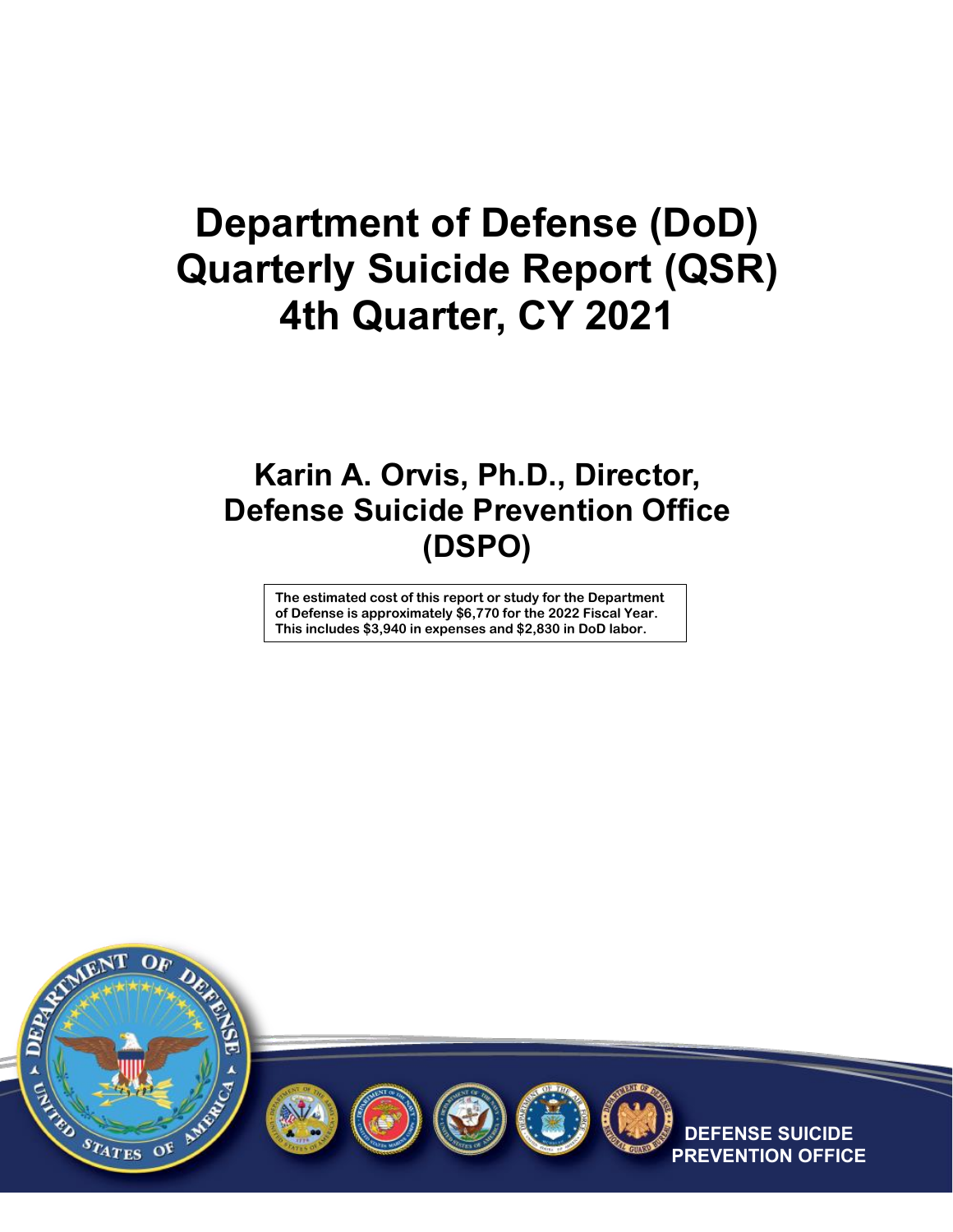# **Department of Defense (DoD) Quarterly Suicide Report (QSR) 4th Quarter, CY 2021**

### **Karin A. Orvis, Ph.D., Director, Defense Suicide Prevention Office (DSPO)**

**The estimated cost of this report or study for the Department of Defense is approximately \$6,770 for the 2022 Fiscal Year. This includes \$3,940 in expenses and \$2,830 in DoD labor.**



![](_page_0_Picture_4.jpeg)

![](_page_0_Picture_5.jpeg)

![](_page_0_Picture_6.jpeg)

**SUICIDE ON OFFICE**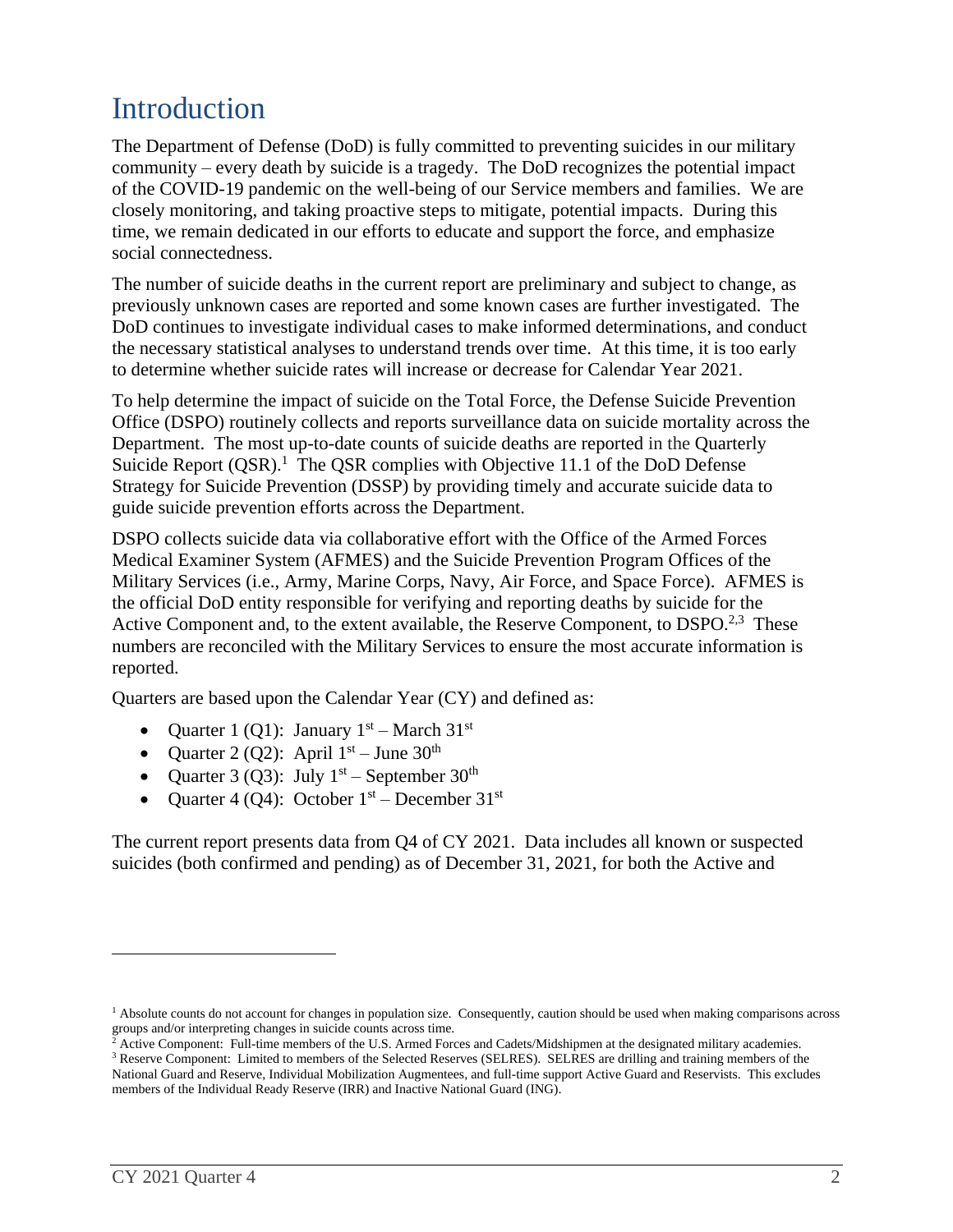## Introduction

The Department of Defense (DoD) is fully committed to preventing suicides in our military community – every death by suicide is a tragedy. The DoD recognizes the potential impact of the COVID-19 pandemic on the well-being of our Service members and families. We are closely monitoring, and taking proactive steps to mitigate, potential impacts. During this time, we remain dedicated in our efforts to educate and support the force, and emphasize social connectedness.

The number of suicide deaths in the current report are preliminary and subject to change, as previously unknown cases are reported and some known cases are further investigated. The DoD continues to investigate individual cases to make informed determinations, and conduct the necessary statistical analyses to understand trends over time. At this time, it is too early to determine whether suicide rates will increase or decrease for Calendar Year 2021.

To help determine the impact of suicide on the Total Force, the Defense Suicide Prevention Office (DSPO) routinely collects and reports surveillance data on suicide mortality across the Department. The most up-to-date counts of suicide deaths are reported in the Quarterly Suicide Report  $(QSR)$ <sup>1</sup>. The QSR complies with Objective 11.1 of the DoD Defense Strategy for Suicide Prevention (DSSP) by providing timely and accurate suicide data to guide suicide prevention efforts across the Department.

DSPO collects suicide data via collaborative effort with the Office of the Armed Forces Medical Examiner System (AFMES) and the Suicide Prevention Program Offices of the Military Services (i.e., Army, Marine Corps, Navy, Air Force, and Space Force). AFMES is the official DoD entity responsible for verifying and reporting deaths by suicide for the Active Component and, to the extent available, the Reserve Component, to DSPO.<sup>2,3</sup> These numbers are reconciled with the Military Services to ensure the most accurate information is reported.

Quarters are based upon the Calendar Year (CY) and defined as:

- Quarter 1 (Q1): January  $1<sup>st</sup>$  March 31<sup>st</sup>
- Quarter 2 (Q2): April  $1<sup>st</sup>$  June 30<sup>th</sup>
- Quarter 3 (Q3): July  $1<sup>st</sup>$  September 30<sup>th</sup>
- Quarter 4 (Q4): October  $1<sup>st</sup>$  December  $31<sup>st</sup>$

The current report presents data from Q4 of CY 2021. Data includes all known or suspected suicides (both confirmed and pending) as of December 31, 2021, for both the Active and

 $\overline{a}$ 

 $<sup>1</sup>$  Absolute counts do not account for changes in population size. Consequently, caution should be used when making comparisons across</sup> groups and/or interpreting changes in suicide counts across time.

<sup>&</sup>lt;sup>2</sup> Active Component: Full-time members of the U.S. Armed Forces and Cadets/Midshipmen at the designated military academies.

<sup>&</sup>lt;sup>3</sup> Reserve Component: Limited to members of the Selected Reserves (SELRES). SELRES are drilling and training members of the National Guard and Reserve, Individual Mobilization Augmentees, and full-time support Active Guard and Reservists. This excludes members of the Individual Ready Reserve (IRR) and Inactive National Guard (ING).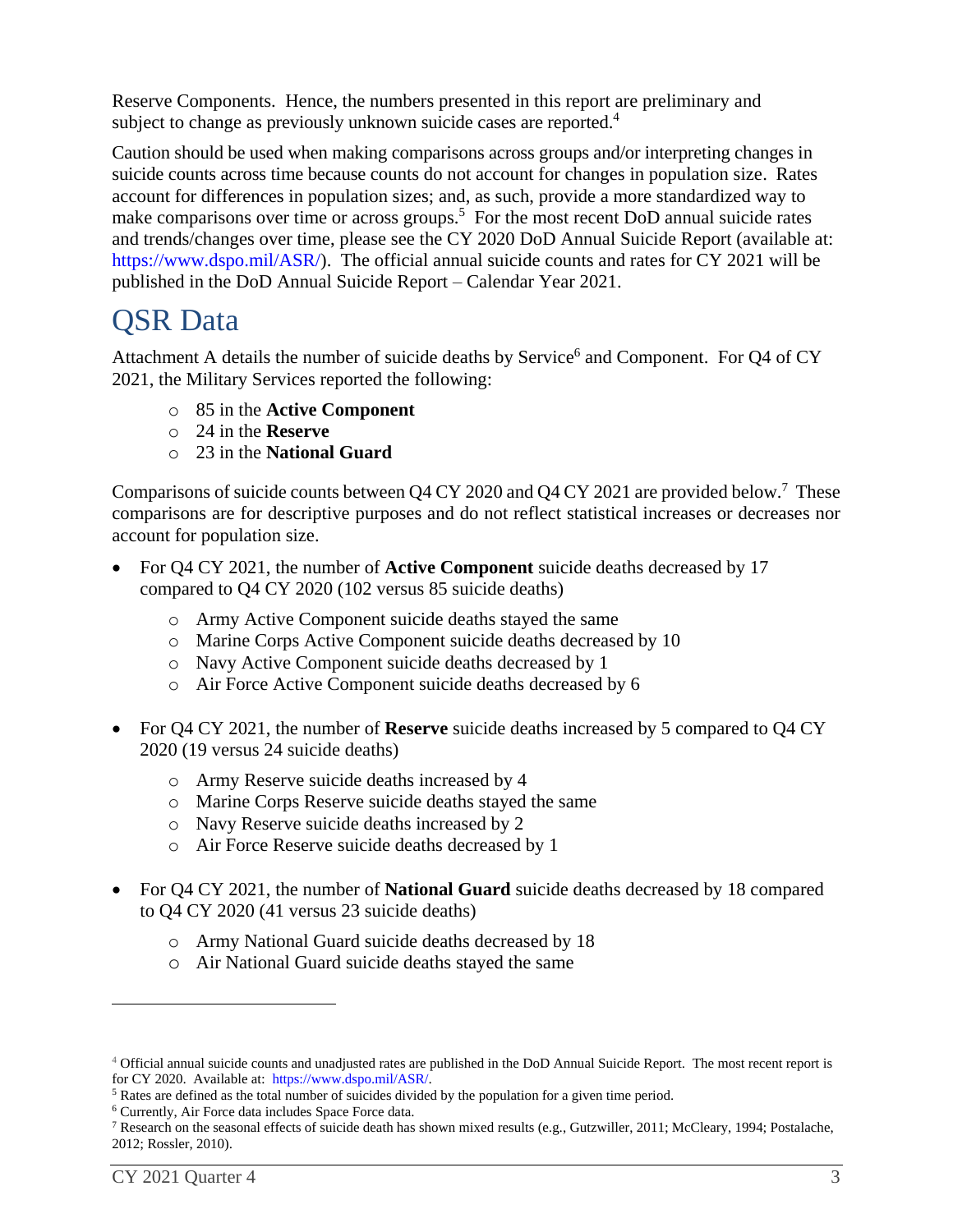Reserve Components. Hence, the numbers presented in this report are preliminary and subject to change as previously unknown suicide cases are reported.<sup>4</sup>

Caution should be used when making comparisons across groups and/or interpreting changes in suicide counts across time because counts do not account for changes in population size. Rates account for differences in population sizes; and, as such, provide a more standardized way to make comparisons over time or across groups.<sup>5</sup> For the most recent DoD annual suicide rates and trends/changes over time, please see the CY 2020 DoD Annual Suicide Report (available at: <https://www.dspo.mil/>ASR/). The official annual suicide counts and rates for CY 2021 will be published in the DoD Annual Suicide Report – Calendar Year 2021.

#### QSR Data

Attachment A details the number of suicide deaths by Service<sup>6</sup> and Component. For Q4 of CY 2021, the Military Services reported the following:

- o 85 in the **Active Component**
- o 24 in the **Reserve**
- o 23 in the **National Guard**

Comparisons of suicide counts between Q4 CY 2020 and Q4 CY 2021 are provided below.<sup>7</sup> These comparisons are for descriptive purposes and do not reflect statistical increases or decreases nor account for population size.

- For Q4 CY 2021, the number of **Active Component** suicide deaths decreased by 17 compared to Q4 CY 2020 (102 versus 85 suicide deaths)
	- o Army Active Component suicide deaths stayed the same
	- o Marine Corps Active Component suicide deaths decreased by 10
	- o Navy Active Component suicide deaths decreased by 1
	- o Air Force Active Component suicide deaths decreased by 6
- For Q4 CY 2021, the number of **Reserve** suicide deaths increased by 5 compared to Q4 CY 2020 (19 versus 24 suicide deaths)
	- o Army Reserve suicide deaths increased by 4
	- o Marine Corps Reserve suicide deaths stayed the same
	- o Navy Reserve suicide deaths increased by 2
	- o Air Force Reserve suicide deaths decreased by 1
- For Q4 CY 2021, the number of **National Guard** suicide deaths decreased by 18 compared to Q4 CY 2020 (41 versus 23 suicide deaths)
	- o Army National Guard suicide deaths decreased by 18
	- o Air National Guard suicide deaths stayed the same

 $\overline{a}$ 

<sup>4</sup> Official annual suicide counts and unadjusted rates are published in the DoD Annual Suicide Report. The most recent report is for CY 2020. Available at: <https://www.dspo.mil/>ASR/.

<sup>&</sup>lt;sup>5</sup> Rates are defined as the total number of suicides divided by the population for a given time period.

<sup>6</sup> Currently, Air Force data includes Space Force data.

<sup>7</sup> Research on the seasonal effects of suicide death has shown mixed results (e.g., Gutzwiller, 2011; McCleary, 1994; Postalache, 2012; Rossler, 2010).